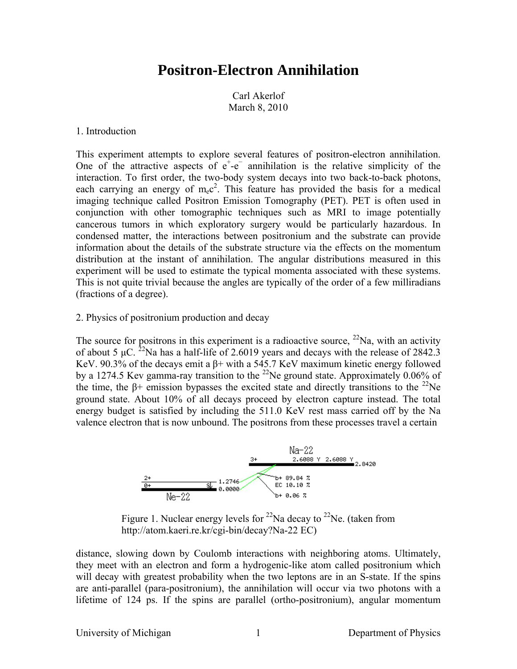# **Positron-Electron Annihilation**

Carl Akerlof March 8, 2010

### 1. Introduction

This experiment attempts to explore several features of positron-electron annihilation. One of the attractive aspects of  $e^+$ - $e^-$  annihilation is the relative simplicity of the interaction. To first order, the two-body system decays into two back-to-back photons, each carrying an energy of  $m_ec^2$ . This feature has provided the basis for a medical imaging technique called Positron Emission Tomography (PET). PET is often used in conjunction with other tomographic techniques such as MRI to image potentially cancerous tumors in which exploratory surgery would be particularly hazardous. In condensed matter, the interactions between positronium and the substrate can provide information about the details of the substrate structure via the effects on the momentum distribution at the instant of annihilation. The angular distributions measured in this experiment will be used to estimate the typical momenta associated with these systems. This is not quite trivial because the angles are typically of the order of a few milliradians (fractions of a degree).

## 2. Physics of positronium production and decay

The source for positrons in this experiment is a radioactive source,  $^{22}$ Na, with an activity of about 5  $\mu$ C. <sup>22</sup>Na has a half-life of 2.6019 years and decays with the release of 2842.3 KeV. 90.3% of the decays emit a β+ with a 545.7 KeV maximum kinetic energy followed by a 1274.5 Kev gamma-ray transition to the <sup>22</sup>Ne ground state. Approximately 0.06% of the time, the β+ emission bypasses the excited state and directly transitions to the <sup>22</sup>Ne ground state. About 10% of all decays proceed by electron capture instead. The total energy budget is satisfied by including the 511.0 KeV rest mass carried off by the Na valence electron that is now unbound. The positrons from these processes travel a certain



Figure 1. Nuclear energy levels for <sup>22</sup>Na decay to <sup>22</sup>Ne. (taken from http://atom.kaeri.re.kr/cgi-bin/decay?Na-22 EC)

distance, slowing down by Coulomb interactions with neighboring atoms. Ultimately, they meet with an electron and form a hydrogenic-like atom called positronium which will decay with greatest probability when the two leptons are in an S-state. If the spins are anti-parallel (para-positronium), the annihilation will occur via two photons with a lifetime of 124 ps. If the spins are parallel (ortho-positronium), angular momentum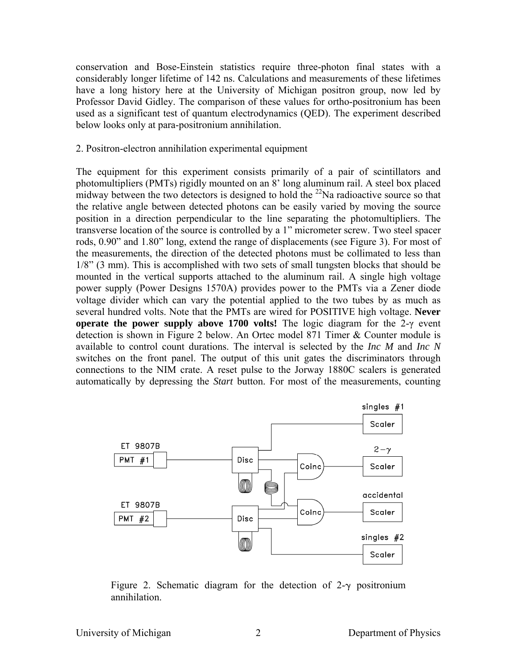conservation and Bose-Einstein statistics require three-photon final states with a considerably longer lifetime of 142 ns. Calculations and measurements of these lifetimes have a long history here at the University of Michigan positron group, now led by Professor David Gidley. The comparison of these values for ortho-positronium has been used as a significant test of quantum electrodynamics (QED). The experiment described below looks only at para-positronium annihilation.

# 2. Positron-electron annihilation experimental equipment

The equipment for this experiment consists primarily of a pair of scintillators and photomultipliers (PMTs) rigidly mounted on an 8' long aluminum rail. A steel box placed midway between the two detectors is designed to hold the <sup>22</sup>Na radioactive source so that the relative angle between detected photons can be easily varied by moving the source position in a direction perpendicular to the line separating the photomultipliers. The transverse location of the source is controlled by a 1" micrometer screw. Two steel spacer rods, 0.90" and 1.80" long, extend the range of displacements (see Figure 3). For most of the measurements, the direction of the detected photons must be collimated to less than 1/8" (3 mm). This is accomplished with two sets of small tungsten blocks that should be mounted in the vertical supports attached to the aluminum rail. A single high voltage power supply (Power Designs 1570A) provides power to the PMTs via a Zener diode voltage divider which can vary the potential applied to the two tubes by as much as several hundred volts. Note that the PMTs are wired for POSITIVE high voltage. **Never operate the power supply above 1700 volts!** The logic diagram for the 2-γ event detection is shown in Figure 2 below. An Ortec model 871 Timer & Counter module is available to control count durations. The interval is selected by the *Inc M* and *Inc N* switches on the front panel. The output of this unit gates the discriminators through connections to the NIM crate. A reset pulse to the Jorway 1880C scalers is generated automatically by depressing the *Start* button. For most of the measurements, counting



Figure 2. Schematic diagram for the detection of  $2-\gamma$  positronium annihilation.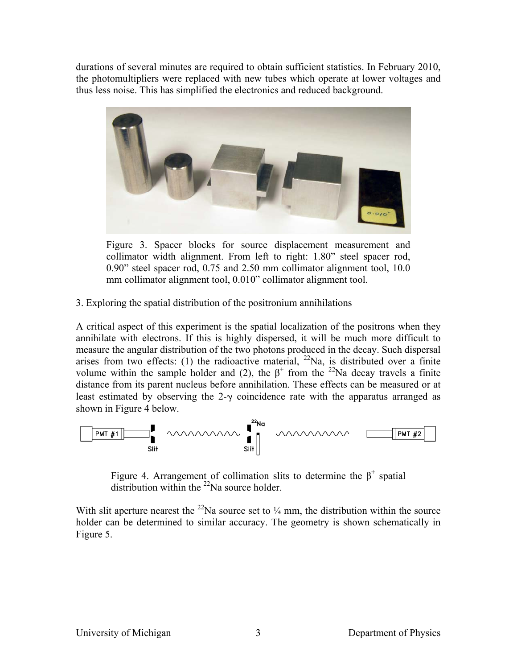durations of several minutes are required to obtain sufficient statistics. In February 2010, the photomultipliers were replaced with new tubes which operate at lower voltages and thus less noise. This has simplified the electronics and reduced background.



Figure 3. Spacer blocks for source displacement measurement and collimator width alignment. From left to right: 1.80" steel spacer rod, 0.90" steel spacer rod, 0.75 and 2.50 mm collimator alignment tool, 10.0 mm collimator alignment tool, 0.010" collimator alignment tool.

3. Exploring the spatial distribution of the positronium annihilations

A critical aspect of this experiment is the spatial localization of the positrons when they annihilate with electrons. If this is highly dispersed, it will be much more difficult to measure the angular distribution of the two photons produced in the decay. Such dispersal arises from two effects: (1) the radioactive material,  $^{22}$ Na, is distributed over a finite volume within the sample holder and (2), the  $\beta^+$  from the <sup>22</sup>Na decay travels a finite distance from its parent nucleus before annihilation. These effects can be measured or at least estimated by observing the  $2-\gamma$  coincidence rate with the apparatus arranged as shown in Figure 4 below.



Figure 4. Arrangement of collimation slits to determine the  $\beta^+$  spatial distribution within the  $^{22}$ Na source holder.

With slit aperture nearest the  $^{22}$ Na source set to  $\frac{1}{4}$  mm, the distribution within the source holder can be determined to similar accuracy. The geometry is shown schematically in Figure 5.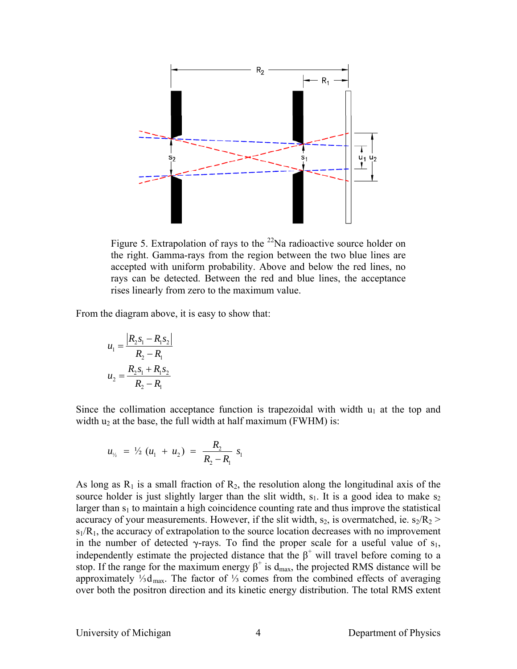

Figure 5. Extrapolation of rays to the  $^{22}$ Na radioactive source holder on the right. Gamma-rays from the region between the two blue lines are accepted with uniform probability. Above and below the red lines, no rays can be detected. Between the red and blue lines, the acceptance rises linearly from zero to the maximum value.

From the diagram above, it is easy to show that:

$$
u_1 = \frac{|R_2 s_1 - R_1 s_2|}{R_2 - R_1}
$$

$$
u_2 = \frac{R_2 s_1 + R_1 s_2}{R_2 - R_1}
$$

Since the collimation acceptance function is trapezoidal with width  $u_1$  at the top and width  $u_2$  at the base, the full width at half maximum (FWHM) is:

$$
u_{\nu_2} = \frac{1}{2} (u_1 + u_2) = \frac{R_2}{R_2 - R_1} s_1
$$

As long as  $R_1$  is a small fraction of  $R_2$ , the resolution along the longitudinal axis of the source holder is just slightly larger than the slit width,  $s<sub>1</sub>$ . It is a good idea to make  $s<sub>2</sub>$ larger than  $s_1$  to maintain a high coincidence counting rate and thus improve the statistical accuracy of your measurements. However, if the slit width,  $s_2$ , is overmatched, ie.  $s_2/R_2$  >  $s_1/R_1$ , the accuracy of extrapolation to the source location decreases with no improvement in the number of detected  $\gamma$ -rays. To find the proper scale for a useful value of  $s_1$ , independently estimate the projected distance that the  $\beta^+$  will travel before coming to a stop. If the range for the maximum energy  $\beta^+$  is d<sub>max</sub>, the projected RMS distance will be approximately ⅓dmax. The factor of ⅓ comes from the combined effects of averaging over both the positron direction and its kinetic energy distribution. The total RMS extent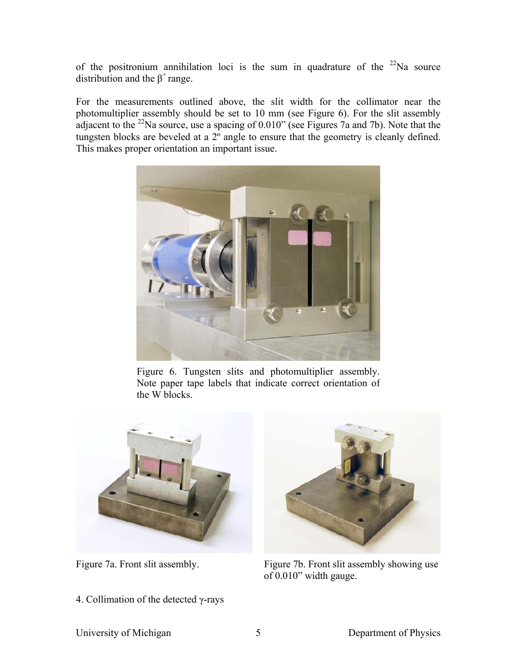of the positronium annihilation loci is the sum in quadrature of the  $22$ Na source distribution and the  $\beta^+$  range.

For the measurements outlined above, the slit width for the collimator near the photomultiplier assembly should be set to 10 mm (see Figure 6). For the slit assembly adjacent to the <sup>22</sup>Na source, use a spacing of 0.010" (see Figures 7a and 7b). Note that the tungsten blocks are beveled at a 2<sup>°</sup> angle to ensure that the geometry is cleanly defined. This makes proper orientation an important issue.



Figure 6. Tungsten slits and photomultiplier assembly. Note paper tape labels that indicate correct orientation of the W blocks.



4. Collimation of the detected γ-rays



Figure 7a. Front slit assembly. Figure 7b. Front slit assembly showing use of 0.010" width gauge.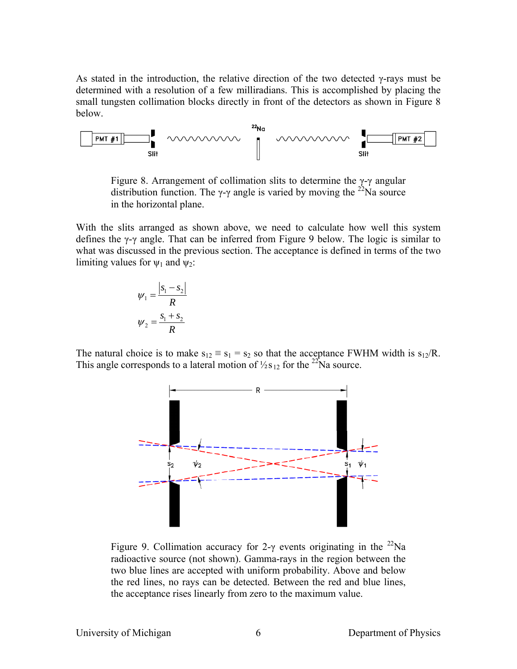As stated in the introduction, the relative direction of the two detected  $\gamma$ -rays must be determined with a resolution of a few milliradians. This is accomplished by placing the small tungsten collimation blocks directly in front of the detectors as shown in Figure 8 below.



Figure 8. Arrangement of collimation slits to determine the  $\gamma$ - $\gamma$  angular distribution function. The γ-γ angle is varied by moving the <sup>22</sup>Na source in the horizontal plane.

With the slits arranged as shown above, we need to calculate how well this system defines the γ-γ angle. That can be inferred from Figure 9 below. The logic is similar to what was discussed in the previous section. The acceptance is defined in terms of the two limiting values for  $\psi_1$  and  $\psi_2$ :

$$
\psi_1 = \frac{|s_1 - s_2|}{R}
$$

$$
\psi_2 = \frac{s_1 + s_2}{R}
$$

The natural choice is to make  $s_{12} \equiv s_1 = s_2$  so that the acceptance FWHM width is  $s_{12}/R$ . This angle corresponds to a lateral motion of  $\frac{1}{2}$ s 12 for the  $\frac{22}{1}$ Na source.



Figure 9. Collimation accuracy for 2-γ events originating in the <sup>22</sup>Na radioactive source (not shown). Gamma-rays in the region between the two blue lines are accepted with uniform probability. Above and below the red lines, no rays can be detected. Between the red and blue lines, the acceptance rises linearly from zero to the maximum value.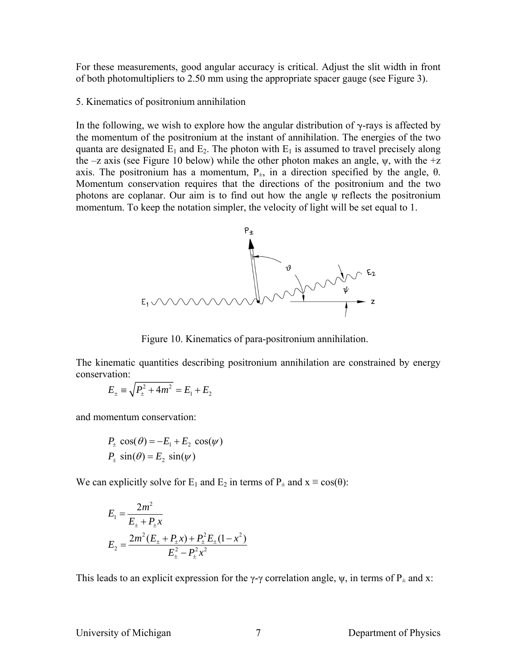For these measurements, good angular accuracy is critical. Adjust the slit width in front of both photomultipliers to 2.50 mm using the appropriate spacer gauge (see Figure 3).

### 5. Kinematics of positronium annihilation

In the following, we wish to explore how the angular distribution of  $\gamma$ -rays is affected by the momentum of the positronium at the instant of annihilation. The energies of the two quanta are designated  $E_1$  and  $E_2$ . The photon with  $E_1$  is assumed to travel precisely along the –z axis (see Figure 10 below) while the other photon makes an angle,  $\psi$ , with the +z axis. The positronium has a momentum,  $P_{\pm}$ , in a direction specified by the angle, θ. Momentum conservation requires that the directions of the positronium and the two photons are coplanar. Our aim is to find out how the angle ψ reflects the positronium momentum. To keep the notation simpler, the velocity of light will be set equal to 1.



Figure 10. Kinematics of para-positronium annihilation.

The kinematic quantities describing positronium annihilation are constrained by energy conservation:

$$
E_{\pm} \equiv \sqrt{P_{\pm}^2 + 4m^2} = E_1 + E_2
$$

and momentum conservation:

$$
P_{\pm} \cos(\theta) = -E_1 + E_2 \cos(\psi)
$$
  

$$
P_{\pm} \sin(\theta) = E_2 \sin(\psi)
$$

We can explicitly solve for E<sub>1</sub> and E<sub>2</sub> in terms of P<sub> $\pm$ </sub> and  $x \equiv cos(\theta)$ :

$$
E_1 = \frac{2m^2}{E_{\pm} + P_{\pm}x}
$$
  
\n
$$
E_2 = \frac{2m^2(E_{\pm} + P_{\pm}x) + P_{\pm}^2 E_{\pm} (1 - x^2)}{E_{\pm}^2 - P_{\pm}^2 x^2}
$$

This leads to an explicit expression for the  $\gamma$ - $\gamma$  correlation angle,  $\psi$ , in terms of  $P_{\pm}$  and x:

University of Michigan Department of Physics 7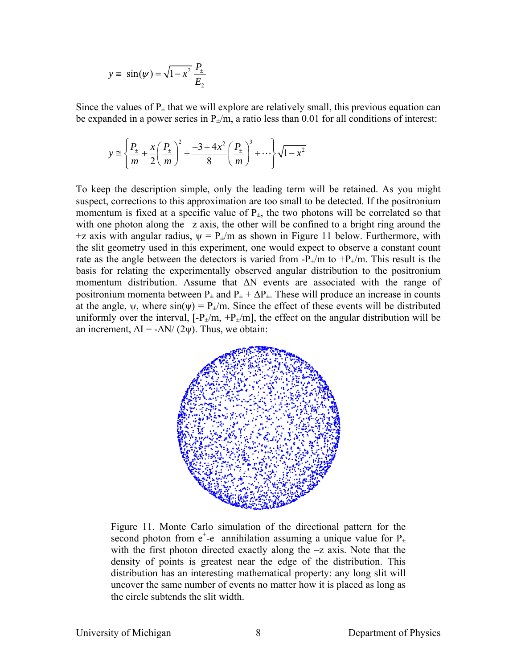$$
y \equiv \sin(\psi) = \sqrt{1 - x^2} \frac{P_{\pm}}{E_2}
$$

Since the values of  $P_{+}$  that we will explore are relatively small, this previous equation can be expanded in a power series in  $P_{\pm}/m$ , a ratio less than 0.01 for all conditions of interest:

$$
y \approx \left\{ \frac{P_{\pm}}{m} + \frac{x}{2} \left( \frac{P_{\pm}}{m} \right)^2 + \frac{-3 + 4x^2}{8} \left( \frac{P_{\pm}}{m} \right)^3 + \cdots \right\} \sqrt{1 - x^2}
$$

To keep the description simple, only the leading term will be retained. As you might suspect, corrections to this approximation are too small to be detected. If the positronium momentum is fixed at a specific value of  $P_{\pm}$ , the two photons will be correlated so that with one photon along the  $-z$  axis, the other will be confined to a bright ring around the +z axis with angular radius,  $\psi = P_{\pm}/m$  as shown in Figure 11 below. Furthermore, with the slit geometry used in this experiment, one would expect to observe a constant count rate as the angle between the detectors is varied from  $-P_{\pm}/m$  to  $+P_{\pm}/m$ . This result is the basis for relating the experimentally observed angular distribution to the positronium momentum distribution. Assume that ΔN events are associated with the range of positronium momenta between  $P_{\pm}$  and  $P_{\pm} + \Delta P_{\pm}$ . These will produce an increase in counts at the angle,  $\psi$ , where  $\sin(\psi) = P_{\pm}/m$ . Since the effect of these events will be distributed uniformly over the interval,  $[-P_{\pm}/m, +P_{\pm}/m]$ , the effect on the angular distribution will be an increment,  $\Delta I = -\Delta N/(2\psi)$ . Thus, we obtain:



Figure 11. Monte Carlo simulation of the directional pattern for the second photon from  $e^+e^-$  annihilation assuming a unique value for  $P_+$ with the first photon directed exactly along the  $-z$  axis. Note that the density of points is greatest near the edge of the distribution. This distribution has an interesting mathematical property: any long slit will uncover the same number of events no matter how it is placed as long as the circle subtends the slit width.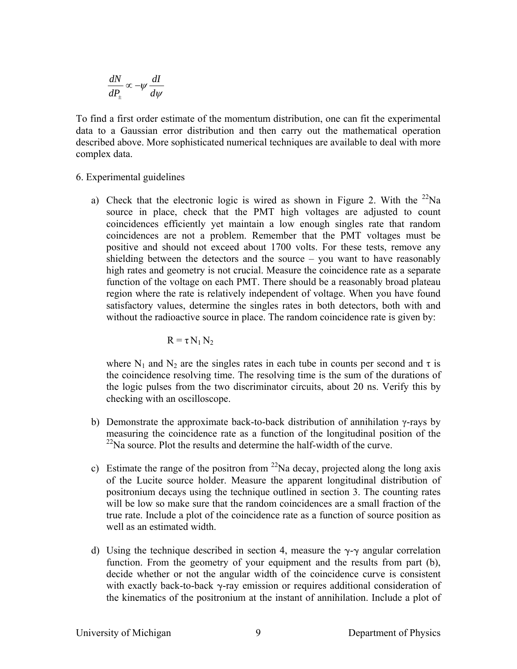$$
\frac{dN}{dP_{\pm}} \propto -\psi \frac{dI}{d\psi}
$$

To find a first order estimate of the momentum distribution, one can fit the experimental data to a Gaussian error distribution and then carry out the mathematical operation described above. More sophisticated numerical techniques are available to deal with more complex data.

- 6. Experimental guidelines
	- a) Check that the electronic logic is wired as shown in Figure 2. With the  $^{22}$ Na source in place, check that the PMT high voltages are adjusted to count coincidences efficiently yet maintain a low enough singles rate that random coincidences are not a problem. Remember that the PMT voltages must be positive and should not exceed about 1700 volts. For these tests, remove any shielding between the detectors and the source – you want to have reasonably high rates and geometry is not crucial. Measure the coincidence rate as a separate function of the voltage on each PMT. There should be a reasonably broad plateau region where the rate is relatively independent of voltage. When you have found satisfactory values, determine the singles rates in both detectors, both with and without the radioactive source in place. The random coincidence rate is given by:

$$
R = \tau N_1 N_2
$$

where  $N_1$  and  $N_2$  are the singles rates in each tube in counts per second and  $\tau$  is the coincidence resolving time. The resolving time is the sum of the durations of the logic pulses from the two discriminator circuits, about 20 ns. Verify this by checking with an oscilloscope.

- b) Demonstrate the approximate back-to-back distribution of annihilation γ-rays by measuring the coincidence rate as a function of the longitudinal position of the  $^{22}$ Na source. Plot the results and determine the half-width of the curve.
- c) Estimate the range of the positron from  $^{22}$ Na decay, projected along the long axis of the Lucite source holder. Measure the apparent longitudinal distribution of positronium decays using the technique outlined in section 3. The counting rates will be low so make sure that the random coincidences are a small fraction of the true rate. Include a plot of the coincidence rate as a function of source position as well as an estimated width.
- d) Using the technique described in section 4, measure the  $\gamma$ - $\gamma$  angular correlation function. From the geometry of your equipment and the results from part (b), decide whether or not the angular width of the coincidence curve is consistent with exactly back-to-back  $\gamma$ -ray emission or requires additional consideration of the kinematics of the positronium at the instant of annihilation. Include a plot of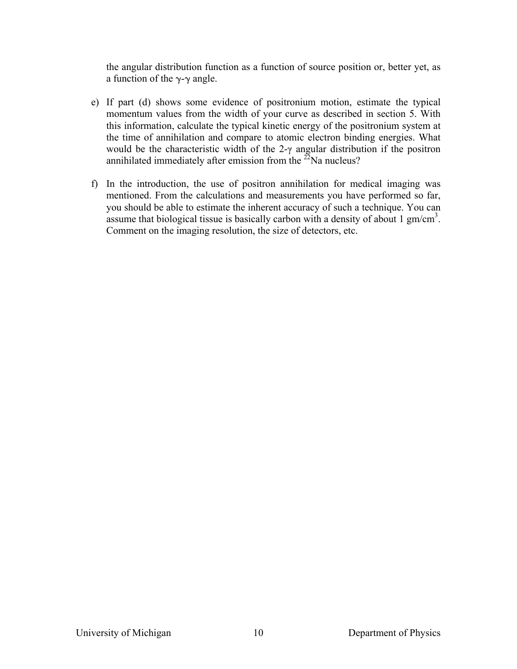the angular distribution function as a function of source position or, better yet, as a function of the  $\gamma$ - $\gamma$  angle.

- e) If part (d) shows some evidence of positronium motion, estimate the typical momentum values from the width of your curve as described in section 5. With this information, calculate the typical kinetic energy of the positronium system at the time of annihilation and compare to atomic electron binding energies. What would be the characteristic width of the 2-γ angular distribution if the positron annihilated immediately after emission from the  $^{22}$ Na nucleus?
- f) In the introduction, the use of positron annihilation for medical imaging was mentioned. From the calculations and measurements you have performed so far, you should be able to estimate the inherent accuracy of such a technique. You can assume that biological tissue is basically carbon with a density of about  $1 \text{ gm/cm}^3$ . Comment on the imaging resolution, the size of detectors, etc.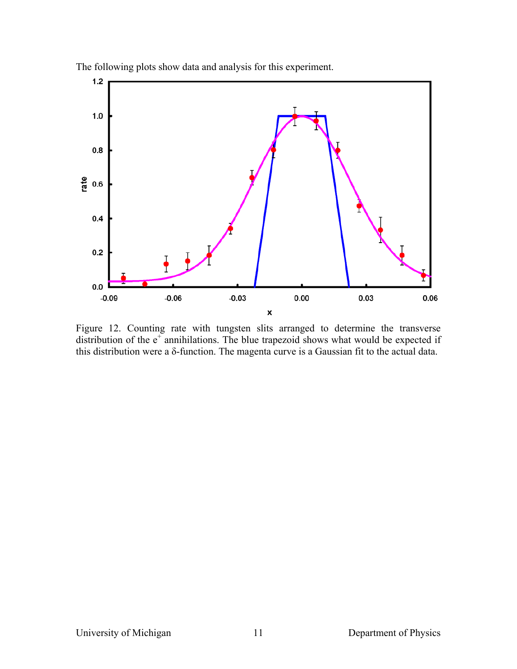

The following plots show data and analysis for this experiment.

Figure 12. Counting rate with tungsten slits arranged to determine the transverse distribution of the  $e^+$  annihilations. The blue trapezoid shows what would be expected if this distribution were a δ-function. The magenta curve is a Gaussian fit to the actual data.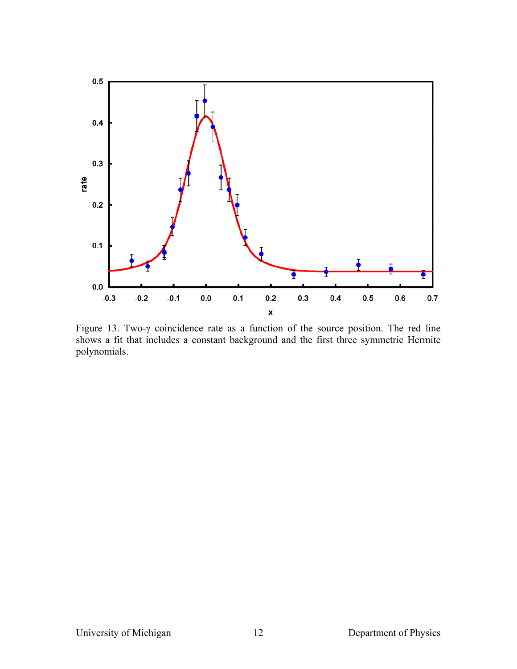

Figure 13. Two-γ coincidence rate as a function of the source position. The red line shows a fit that includes a constant background and the first three symmetric Hermite polynomials.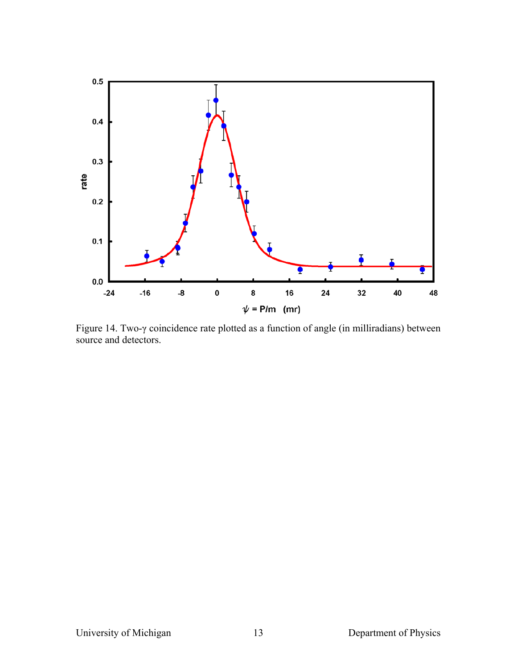

Figure 14. Two-γ coincidence rate plotted as a function of angle (in milliradians) between source and detectors.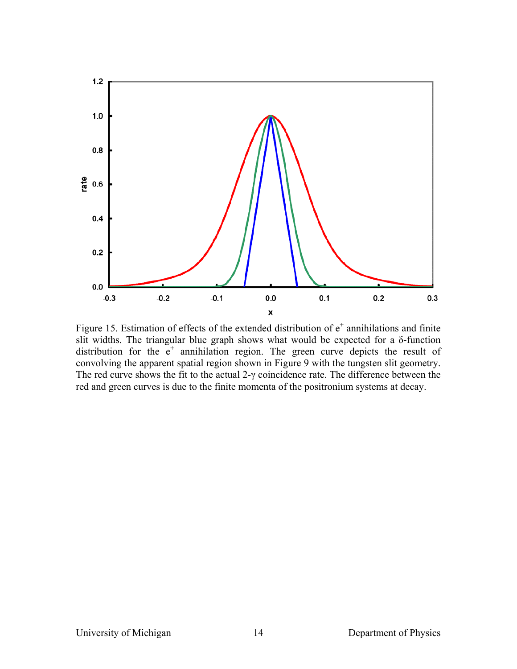

Figure 15. Estimation of effects of the extended distribution of  $e^+$  annihilations and finite slit widths. The triangular blue graph shows what would be expected for a  $\delta$ -function distribution for the  $e^+$  annihilation region. The green curve depicts the result of convolving the apparent spatial region shown in Figure 9 with the tungsten slit geometry. The red curve shows the fit to the actual  $2-\gamma$  coincidence rate. The difference between the red and green curves is due to the finite momenta of the positronium systems at decay.